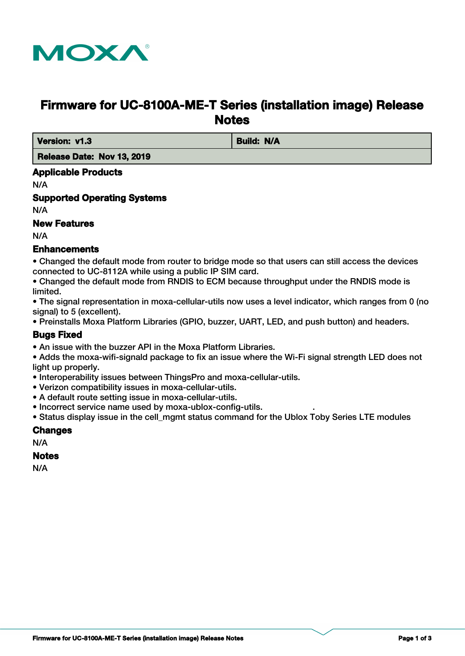

# **Firmware for UC-8100A-ME-T Series (installation image) Release Notes**

**Version: v1.3 Build: N/A** 

 **Release Date: Nov 13, 2019**

# **Applicable Products**

N/A

**Supported Operating Systems**

N/A

# **New Features**

N/A

# **Enhancements**

• Changed the default mode from router to bridge mode so that users can still access the devices connected to UC-8112A while using a public IP SIM card.

• Changed the default mode from RNDIS to ECM because throughput under the RNDIS mode is limited.

• The signal representation in moxa-cellular-utils now uses a level indicator, which ranges from 0 (no signal) to 5 (excellent).

• Preinstalls Moxa Platform Libraries (GPIO, buzzer, UART, LED, and push button) and headers.

# **Bugs Fixed**

• An issue with the buzzer API in the Moxa Platform Libraries.

• Adds the moxa-wifi-signald package to fix an issue where the Wi-Fi signal strength LED does not light up properly.

- Interoperability issues between ThingsPro and moxa-cellular-utils.
- Verizon compatibility issues in moxa-cellular-utils.
- A default route setting issue in moxa-cellular-utils.
- Incorrect service name used by moxa-ublox-config-utils. .
- Status display issue in the cell mgmt status command for the Ublox Toby Series LTE modules

### **Changes**

N/A

### **Notes**

N/A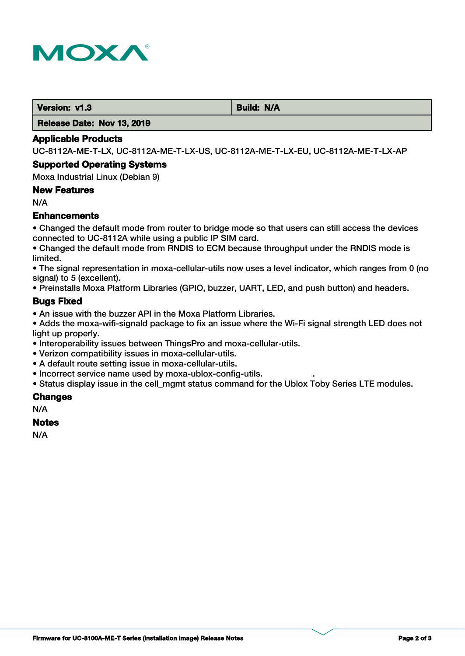

**Version: v1.3 Build: N/A** 

 **Release Date: Nov 13, 2019**

#### **Applicable Products**

UC-8112A-ME-T-LX, UC-8112A-ME-T-LX-US, UC-8112A-ME-T-LX-EU, UC-8112A-ME-T-LX-AP

#### **Supported Operating Systems**

Moxa Industrial Linux (Debian 9)

### **New Features**

N/A

# **Enhancements**

• Changed the default mode from router to bridge mode so that users can still access the devices connected to UC-8112A while using a public IP SIM card.

• Changed the default mode from RNDIS to ECM because throughput under the RNDIS mode is limited.

• The signal representation in moxa-cellular-utils now uses a level indicator, which ranges from 0 (no signal) to 5 (excellent).

• Preinstalls Moxa Platform Libraries (GPIO, buzzer, UART, LED, and push button) and headers.

### **Bugs Fixed**

• An issue with the buzzer API in the Moxa Platform Libraries.

• Adds the moxa-wifi-signald package to fix an issue where the Wi-Fi signal strength LED does not light up properly.

- Interoperability issues between ThingsPro and moxa-cellular-utils.
- Verizon compatibility issues in moxa-cellular-utils.
- A default route setting issue in moxa-cellular-utils.
- Incorrect service name used by moxa-ublox-config-utils. .

• Status display issue in the cell\_mgmt status command for the Ublox Toby Series LTE modules.

### **Changes**

N/A

#### **Notes**

N/A